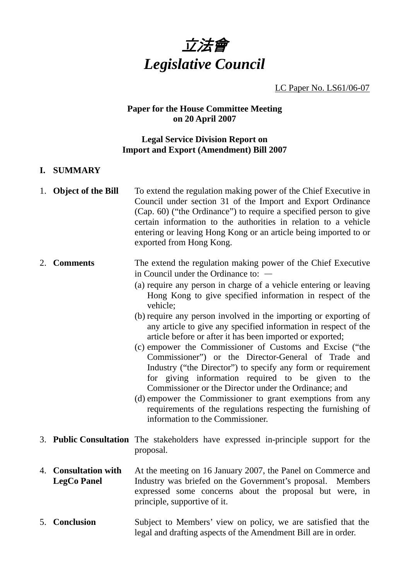

LC Paper No. LS61/06-07

## **Paper for the House Committee Meeting on 20 April 2007**

#### **Legal Service Division Report on Import and Export (Amendment) Bill 2007**

- **I. SUMMARY**
- 1. **Object of the Bill** To extend the regulation making power of the Chief Executive in Council under section 31 of the Import and Export Ordinance (Cap. 60) ("the Ordinance") to require a specified person to give certain information to the authorities in relation to a vehicle entering or leaving Hong Kong or an article being imported to or exported from Hong Kong.
- 2. **Comments** The extend the regulation making power of the Chief Executive in Council under the Ordinance to: —
	- (a) require any person in charge of a vehicle entering or leaving Hong Kong to give specified information in respect of the vehicle;
	- (b) require any person involved in the importing or exporting of any article to give any specified information in respect of the article before or after it has been imported or exported;
	- (c) empower the Commissioner of Customs and Excise ("the Commissioner") or the Director-General of Trade and Industry ("the Director") to specify any form or requirement for giving information required to be given to the Commissioner or the Director under the Ordinance; and
	- (d) empower the Commissioner to grant exemptions from any requirements of the regulations respecting the furnishing of information to the Commissioner.
- 3. **Public Consultation** The stakeholders have expressed in-principle support for the proposal.
- 4. **Consultation with LegCo Panel**  At the meeting on 16 January 2007, the Panel on Commerce and Industry was briefed on the Government's proposal. Members expressed some concerns about the proposal but were, in principle, supportive of it.
- 5. **Conclusion** Subject to Members' view on policy, we are satisfied that the legal and drafting aspects of the Amendment Bill are in order.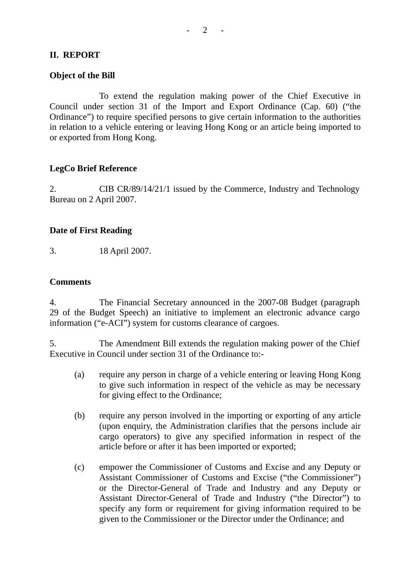# **II. REPORT**

### **Object of the Bill**

1. To extend the regulation making power of the Chief Executive in Council under section 31 of the Import and Export Ordinance (Cap. 60) ("the Ordinance") to require specified persons to give certain information to the authorities in relation to a vehicle entering or leaving Hong Kong or an article being imported to or exported from Hong Kong.

# **LegCo Brief Reference**

2. CIB CR/89/14/21/1 issued by the Commerce, Industry and Technology Bureau on 2 April 2007.

## **Date of First Reading**

3. 18 April 2007.

#### **Comments**

4. The Financial Secretary announced in the 2007-08 Budget (paragraph 29 of the Budget Speech) an initiative to implement an electronic advance cargo information ("e-ACI") system for customs clearance of cargoes.

5. The Amendment Bill extends the regulation making power of the Chief Executive in Council under section 31 of the Ordinance to:-

- (a) require any person in charge of a vehicle entering or leaving Hong Kong to give such information in respect of the vehicle as may be necessary for giving effect to the Ordinance;
- (b) require any person involved in the importing or exporting of any article (upon enquiry, the Administration clarifies that the persons include air cargo operators) to give any specified information in respect of the article before or after it has been imported or exported;
- (c) empower the Commissioner of Customs and Excise and any Deputy or Assistant Commissioner of Customs and Excise ("the Commissioner") or the Director-General of Trade and Industry and any Deputy or Assistant Director-General of Trade and Industry ("the Director") to specify any form or requirement for giving information required to be given to the Commissioner or the Director under the Ordinance; and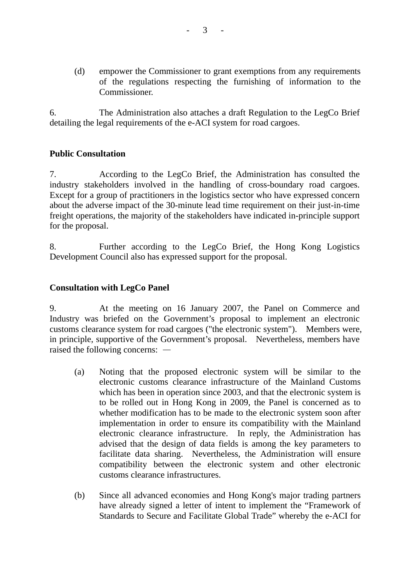(d) empower the Commissioner to grant exemptions from any requirements of the regulations respecting the furnishing of information to the **Commissioner** 

6. The Administration also attaches a draft Regulation to the LegCo Brief detailing the legal requirements of the e-ACI system for road cargoes.

## **Public Consultation**

7. According to the LegCo Brief, the Administration has consulted the industry stakeholders involved in the handling of cross-boundary road cargoes. Except for a group of practitioners in the logistics sector who have expressed concern about the adverse impact of the 30-minute lead time requirement on their just-in-time freight operations, the majority of the stakeholders have indicated in-principle support for the proposal.

8. Further according to the LegCo Brief, the Hong Kong Logistics Development Council also has expressed support for the proposal.

### **Consultation with LegCo Panel**

9. At the meeting on 16 January 2007, the Panel on Commerce and Industry was briefed on the Government's proposal to implement an electronic customs clearance system for road cargoes ("the electronic system"). Members were, in principle, supportive of the Government's proposal. Nevertheless, members have raised the following concerns: —

- (a) Noting that the proposed electronic system will be similar to the electronic customs clearance infrastructure of the Mainland Customs which has been in operation since 2003, and that the electronic system is to be rolled out in Hong Kong in 2009, the Panel is concerned as to whether modification has to be made to the electronic system soon after implementation in order to ensure its compatibility with the Mainland electronic clearance infrastructure. In reply, the Administration has advised that the design of data fields is among the key parameters to facilitate data sharing. Nevertheless, the Administration will ensure compatibility between the electronic system and other electronic customs clearance infrastructures.
- (b) Since all advanced economies and Hong Kong's major trading partners have already signed a letter of intent to implement the "Framework of Standards to Secure and Facilitate Global Trade" whereby the e-ACI for